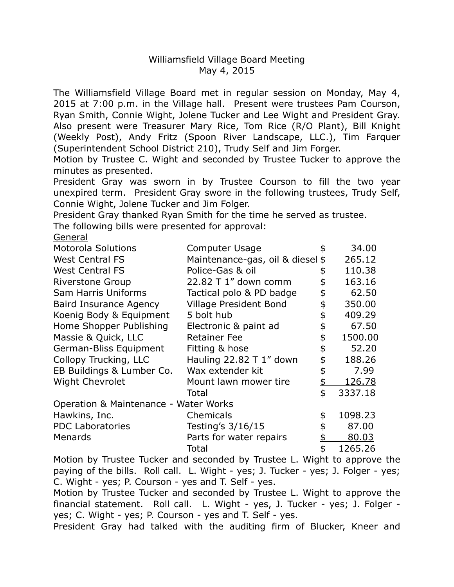## Williamsfield Village Board Meeting May 4, 2015

 The Williamsfield Village Board met in regular session on Monday, May 4, 2015 at 7:00 p.m. in the Village hall. Present were trustees Pam Courson, Ryan Smith, Connie Wight, Jolene Tucker and Lee Wight and President Gray. Also present were Treasurer Mary Rice, Tom Rice (R/O Plant), Bill Knight (Weekly Post), Andy Fritz (Spoon River Landscape, LLC.), Tim Farquer (Superintendent School District 210), Trudy Self and Jim Forger.

 Motion by Trustee C. Wight and seconded by Trustee Tucker to approve the minutes as presented.

 President Gray was sworn in by Trustee Courson to fill the two year unexpired term. President Gray swore in the following trustees, Trudy Self, Connie Wight, Jolene Tucker and Jim Folger.

President Gray thanked Ryan Smith for the time he served as trustee.

The following bills were presented for approval:

General

| <b>Motorola Solutions</b>             | <b>Computer Usage</b>            | \$ | 34.00   |
|---------------------------------------|----------------------------------|----|---------|
| <b>West Central FS</b>                | Maintenance-gas, oil & diesel \$ |    | 265.12  |
| <b>West Central FS</b>                | Police-Gas & oil                 |    | 110.38  |
| <b>Riverstone Group</b>               | 22.82 T 1" down comm             |    | 163.16  |
| Sam Harris Uniforms                   | Tactical polo & PD badge         | \$ | 62.50   |
| <b>Baird Insurance Agency</b>         | <b>Village President Bond</b>    |    | 350.00  |
| Koenig Body & Equipment               | 5 bolt hub                       |    | 409.29  |
| Home Shopper Publishing               | Electronic & paint ad            | \$ | 67.50   |
| Massie & Quick, LLC                   | <b>Retainer Fee</b>              | \$ | 1500.00 |
| German-Bliss Equipment                | Fitting & hose                   |    | 52.20   |
| Collopy Trucking, LLC                 | Hauling $22.82$ T 1" down        |    | 188.26  |
| EB Buildings & Lumber Co.             | Wax extender kit                 |    | 7.99    |
| <b>Wight Chevrolet</b>                | Mount lawn mower tire            | \$ | 126.78  |
|                                       | Total                            | \$ | 3337.18 |
| Operation & Maintenance - Water Works |                                  |    |         |
| Hawkins, Inc.                         | Chemicals                        | \$ | 1098.23 |
| <b>PDC Laboratories</b>               | Testing's 3/16/15                |    | 87.00   |
| Menards                               | Parts for water repairs          |    | 80.03   |
|                                       | Total                            | \$ | 1265.26 |

 Motion by Trustee Tucker and seconded by Trustee L. Wight to approve the paying of the bills. Roll call. L. Wight - yes; J. Tucker - yes; J. Folger - yes; C. Wight - yes; P. Courson - yes and T. Self - yes.

 Motion by Trustee Tucker and seconded by Trustee L. Wight to approve the financial statement. Roll call. L. Wight - yes, J. Tucker - yes; J. Folger - yes; C. Wight - yes; P. Courson - yes and T. Self - yes.

President Gray had talked with the auditing firm of Blucker, Kneer and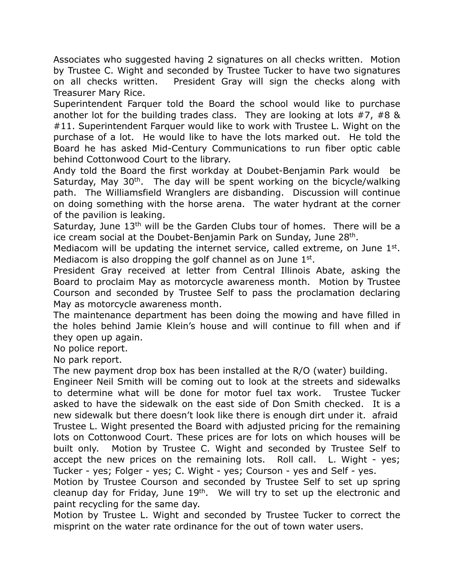Associates who suggested having 2 signatures on all checks written. Motion by Trustee C. Wight and seconded by Trustee Tucker to have two signatures on all checks written. Treasurer Mary Rice. President Gray will sign the checks along with

 Superintendent Farquer told the Board the school would like to purchase another lot for the building trades class. They are looking at lots #7, #8 & #11. Superintendent Farquer would like to work with Trustee L. Wight on the purchase of a lot. He would like to have the lots marked out. He told the Board he has asked Mid-Century Communications to run fiber optic cable behind Cottonwood Court to the library.

 Andy told the Board the first workday at Doubet-Benjamin Park would be Saturday, May 30<sup>th</sup>. The day will be spent working on the bicycle/walking path. The Williamsfield Wranglers are disbanding. Discussion will continue on doing something with the horse arena. The water hydrant at the corner of the pavilion is leaking.

Saturday, June 13<sup>th</sup> will be the Garden Clubs tour of homes. There will be a ice cream social at the Doubet-Benjamin Park on Sunday, June 28<sup>th</sup>.

Mediacom will be updating the internet service, called extreme, on June  $1<sup>st</sup>$ . Mediacom is also dropping the golf channel as on June  $1<sup>st</sup>$ .

 President Gray received at letter from Central Illinois Abate, asking the Board to proclaim May as motorcycle awareness month. Motion by Trustee Courson and seconded by Trustee Self to pass the proclamation declaring May as motorcycle awareness month.

 The maintenance department has been doing the mowing and have filled in the holes behind Jamie Klein's house and will continue to fill when and if they open up again.

No police report.

No park report.

The new payment drop box has been installed at the R/O (water) building.

 Engineer Neil Smith will be coming out to look at the streets and sidewalks to determine what will be done for motor fuel tax work. Trustee Tucker asked to have the sidewalk on the east side of Don Smith checked. It is a new sidewalk but there doesn't look like there is enough dirt under it. afraid Trustee L. Wight presented the Board with adjusted pricing for the remaining lots on Cottonwood Court. These prices are for lots on which houses will be built only. accept the new prices on the remaining lots. Roll call. L. Wight - yes; Tucker - yes; Folger - yes; C. Wight - yes; Courson - yes and Self - yes. Motion by Trustee C. Wight and seconded by Trustee Self to

 Motion by Trustee Courson and seconded by Trustee Self to set up spring cleanup day for Friday, June  $19<sup>th</sup>$ . We will try to set up the electronic and paint recycling for the same day.

 Motion by Trustee L. Wight and seconded by Trustee Tucker to correct the misprint on the water rate ordinance for the out of town water users.